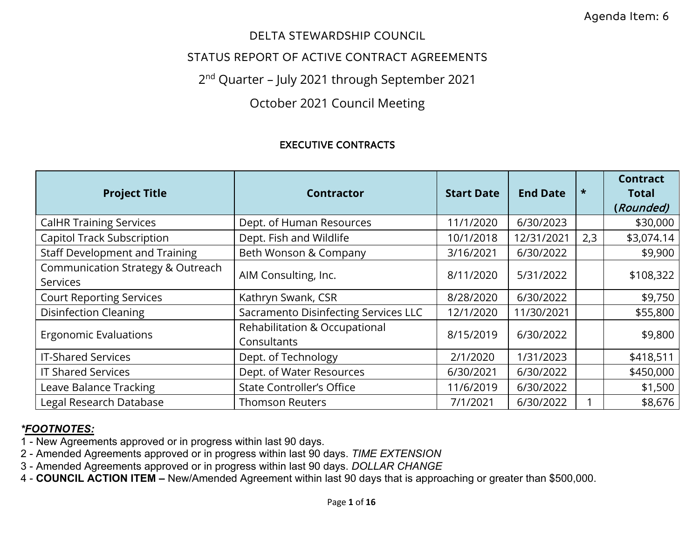## DELTA STEWARDSHIP COUNCIL

## STATUS REPORT OF ACTIVE CONTRACT AGREEMENTS

# 2 nd Quarter – July 2021 through September 2021

# October 2021 Council Meeting

### EXECUTIVE CONTRACTS

| <b>Project Title</b>                                 | <b>Contractor</b>                            | <b>Start Date</b> | <b>End Date</b> | $\star$ | <b>Contract</b><br><b>Total</b><br>(Rounded) |
|------------------------------------------------------|----------------------------------------------|-------------------|-----------------|---------|----------------------------------------------|
| <b>CalHR Training Services</b>                       | Dept. of Human Resources                     | 11/1/2020         | 6/30/2023       |         | \$30,000                                     |
| <b>Capitol Track Subscription</b>                    | Dept. Fish and Wildlife                      | 10/1/2018         | 12/31/2021      | 2,3     | \$3,074.14                                   |
| <b>Staff Development and Training</b>                | Beth Wonson & Company                        | 3/16/2021         | 6/30/2022       |         | \$9,900                                      |
| Communication Strategy & Outreach<br><b>Services</b> | AIM Consulting, Inc.                         | 8/11/2020         | 5/31/2022       |         | \$108,322                                    |
| <b>Court Reporting Services</b>                      | Kathryn Swank, CSR                           | 8/28/2020         | 6/30/2022       |         | \$9,750                                      |
| <b>Disinfection Cleaning</b>                         | Sacramento Disinfecting Services LLC         | 12/1/2020         | 11/30/2021      |         | \$55,800                                     |
| <b>Ergonomic Evaluations</b>                         | Rehabilitation & Occupational<br>Consultants | 8/15/2019         | 6/30/2022       |         | \$9,800                                      |
| <b>IT-Shared Services</b>                            | Dept. of Technology                          | 2/1/2020          | 1/31/2023       |         | \$418,511                                    |
| <b>IT Shared Services</b>                            | Dept. of Water Resources                     | 6/30/2021         | 6/30/2022       |         | \$450,000                                    |
| Leave Balance Tracking                               | <b>State Controller's Office</b>             | 11/6/2019         | 6/30/2022       |         | \$1,500                                      |
| Legal Research Database                              | <b>Thomson Reuters</b>                       | 7/1/2021          | 6/30/2022       |         | \$8,676                                      |

- 1 New Agreements approved or in progress within last 90 days.
- 2 Amended Agreements approved or in progress within last 90 days. *TIME EXTENSION*
- 3 Amended Agreements approved or in progress within last 90 days. *DOLLAR CHANGE*
- 4 **COUNCIL ACTION ITEM** New/Amended Agreement within last 90 days that is approaching or greater than \$500,000.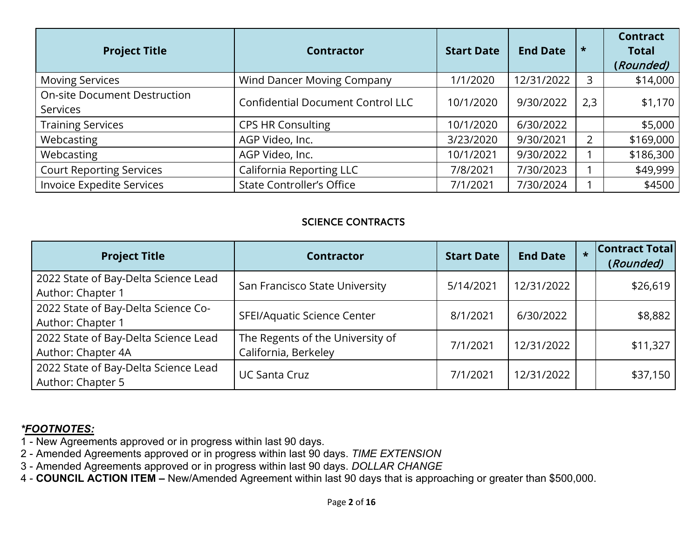| <b>Project Title</b>                                   | <b>Contractor</b>                        | <b>Start Date</b> | <b>End Date</b> | $\star$        | <b>Contract</b><br><b>Total</b><br>(Rounded) |
|--------------------------------------------------------|------------------------------------------|-------------------|-----------------|----------------|----------------------------------------------|
| <b>Moving Services</b>                                 | Wind Dancer Moving Company               | 1/1/2020          | 12/31/2022      | 3              | \$14,000                                     |
| <b>On-site Document Destruction</b><br><b>Services</b> | <b>Confidential Document Control LLC</b> | 10/1/2020         | 9/30/2022       | 2,3            | \$1,170                                      |
| <b>Training Services</b>                               | <b>CPS HR Consulting</b>                 | 10/1/2020         | 6/30/2022       |                | \$5,000                                      |
| Webcasting                                             | AGP Video, Inc.                          | 3/23/2020         | 9/30/2021       | $\overline{2}$ | \$169,000                                    |
| Webcasting                                             | AGP Video, Inc.                          | 10/1/2021         | 9/30/2022       |                | \$186,300                                    |
| <b>Court Reporting Services</b>                        | California Reporting LLC                 | 7/8/2021          | 7/30/2023       |                | \$49,999                                     |
| <b>Invoice Expedite Services</b>                       | <b>State Controller's Office</b>         | 7/1/2021          | 7/30/2024       |                | \$4500                                       |

### SCIENCE CONTRACTS

| <b>Project Title</b>                                       | <b>Contractor</b>                                        | <b>Start Date</b> | <b>End Date</b> | $\star$ | <b>Contract Total</b><br>(Rounded) |
|------------------------------------------------------------|----------------------------------------------------------|-------------------|-----------------|---------|------------------------------------|
| 2022 State of Bay-Delta Science Lead<br>Author: Chapter 1  | San Francisco State University                           | 5/14/2021         | 12/31/2022      |         | \$26,619                           |
| 2022 State of Bay-Delta Science Co-<br>Author: Chapter 1   | SFEI/Aquatic Science Center                              | 8/1/2021          | 6/30/2022       |         | \$8,882                            |
| 2022 State of Bay-Delta Science Lead<br>Author: Chapter 4A | The Regents of the University of<br>California, Berkeley | 7/1/2021          | 12/31/2022      |         | \$11,327                           |
| 2022 State of Bay-Delta Science Lead<br>Author: Chapter 5  | <b>UC Santa Cruz</b>                                     | 7/1/2021          | 12/31/2022      |         | \$37,150                           |

- 1 New Agreements approved or in progress within last 90 days.
- 2 Amended Agreements approved or in progress within last 90 days. *TIME EXTENSION*
- 3 Amended Agreements approved or in progress within last 90 days. *DOLLAR CHANGE*
- 4 **COUNCIL ACTION ITEM** New/Amended Agreement within last 90 days that is approaching or greater than \$500,000.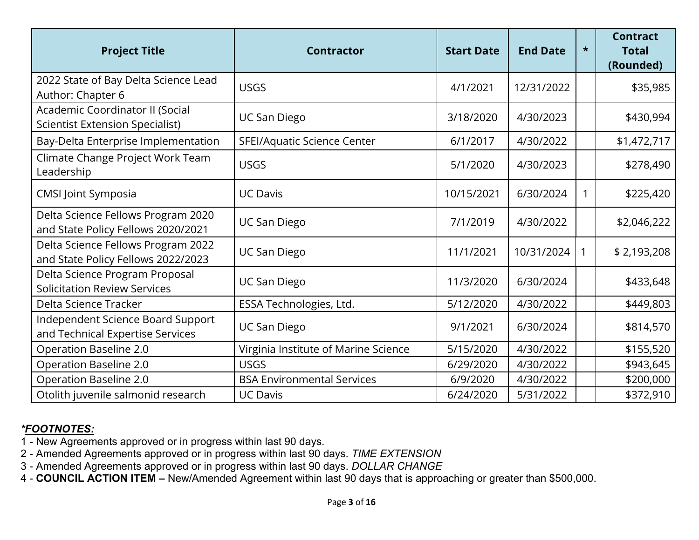| <b>Project Title</b>                                                      | <b>Contractor</b>                    | <b>Start Date</b> | <b>End Date</b> | $\star$ | <b>Contract</b><br><b>Total</b><br>(Rounded) |
|---------------------------------------------------------------------------|--------------------------------------|-------------------|-----------------|---------|----------------------------------------------|
| 2022 State of Bay Delta Science Lead<br>Author: Chapter 6                 | <b>USGS</b>                          | 4/1/2021          | 12/31/2022      |         | \$35,985                                     |
| Academic Coordinator II (Social<br><b>Scientist Extension Specialist)</b> | <b>UC San Diego</b>                  | 3/18/2020         | 4/30/2023       |         | \$430,994                                    |
| Bay-Delta Enterprise Implementation                                       | SFEI/Aquatic Science Center          | 6/1/2017          | 4/30/2022       |         | \$1,472,717                                  |
| Climate Change Project Work Team<br>Leadership                            | <b>USGS</b>                          | 5/1/2020          | 4/30/2023       |         | \$278,490                                    |
| <b>CMSI Joint Symposia</b>                                                | <b>UC Davis</b>                      | 10/15/2021        | 6/30/2024       | 1       | \$225,420                                    |
| Delta Science Fellows Program 2020<br>and State Policy Fellows 2020/2021  | <b>UC San Diego</b>                  | 7/1/2019          | 4/30/2022       |         | \$2,046,222                                  |
| Delta Science Fellows Program 2022<br>and State Policy Fellows 2022/2023  | <b>UC San Diego</b>                  | 11/1/2021         | 10/31/2024      | 1       | \$2,193,208                                  |
| Delta Science Program Proposal<br><b>Solicitation Review Services</b>     | <b>UC San Diego</b>                  | 11/3/2020         | 6/30/2024       |         | \$433,648                                    |
| Delta Science Tracker                                                     | ESSA Technologies, Ltd.              | 5/12/2020         | 4/30/2022       |         | \$449,803                                    |
| Independent Science Board Support<br>and Technical Expertise Services     | <b>UC San Diego</b>                  | 9/1/2021          | 6/30/2024       |         | \$814,570                                    |
| Operation Baseline 2.0                                                    | Virginia Institute of Marine Science | 5/15/2020         | 4/30/2022       |         | \$155,520                                    |
| Operation Baseline 2.0                                                    | <b>USGS</b>                          | 6/29/2020         | 4/30/2022       |         | \$943,645                                    |
| Operation Baseline 2.0                                                    | <b>BSA Environmental Services</b>    | 6/9/2020          | 4/30/2022       |         | \$200,000                                    |
| Otolith juvenile salmonid research                                        | <b>UC Davis</b>                      | 6/24/2020         | 5/31/2022       |         | \$372,910                                    |

- 1 New Agreements approved or in progress within last 90 days.
- 2 Amended Agreements approved or in progress within last 90 days. *TIME EXTENSION*
- 3 Amended Agreements approved or in progress within last 90 days. *DOLLAR CHANGE*
- 4 **COUNCIL ACTION ITEM** New/Amended Agreement within last 90 days that is approaching or greater than \$500,000.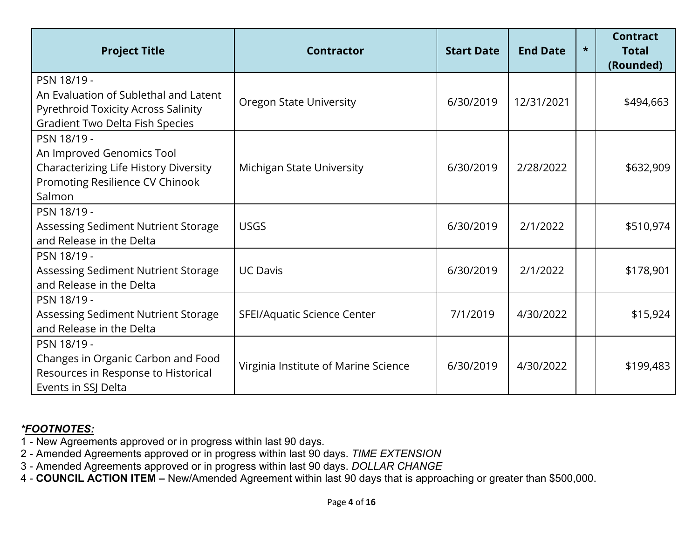| <b>Project Title</b>                                                                                                                         | <b>Contractor</b>                    | <b>Start Date</b> | <b>End Date</b> | $\star$ | <b>Contract</b><br><b>Total</b><br>(Rounded) |
|----------------------------------------------------------------------------------------------------------------------------------------------|--------------------------------------|-------------------|-----------------|---------|----------------------------------------------|
| PSN 18/19 -<br>An Evaluation of Sublethal and Latent<br><b>Pyrethroid Toxicity Across Salinity</b><br><b>Gradient Two Delta Fish Species</b> | <b>Oregon State University</b>       | 6/30/2019         | 12/31/2021      |         | \$494,663                                    |
| PSN 18/19 -<br>An Improved Genomics Tool<br>Characterizing Life History Diversity<br>Promoting Resilience CV Chinook<br>Salmon               | <b>Michigan State University</b>     | 6/30/2019         | 2/28/2022       |         | \$632,909                                    |
| PSN 18/19 -<br>Assessing Sediment Nutrient Storage<br>and Release in the Delta                                                               | <b>USGS</b>                          | 6/30/2019         | 2/1/2022        |         | \$510,974                                    |
| PSN 18/19 -<br>Assessing Sediment Nutrient Storage<br>and Release in the Delta                                                               | <b>UC Davis</b>                      | 6/30/2019         | 2/1/2022        |         | \$178,901                                    |
| PSN 18/19 -<br>Assessing Sediment Nutrient Storage<br>and Release in the Delta                                                               | SFEI/Aquatic Science Center          | 7/1/2019          | 4/30/2022       |         | \$15,924                                     |
| PSN 18/19 -<br>Changes in Organic Carbon and Food<br>Resources in Response to Historical<br>Events in SSJ Delta                              | Virginia Institute of Marine Science | 6/30/2019         | 4/30/2022       |         | \$199,483                                    |

- 1 New Agreements approved or in progress within last 90 days.
- 2 Amended Agreements approved or in progress within last 90 days. *TIME EXTENSION*
- 3 Amended Agreements approved or in progress within last 90 days. *DOLLAR CHANGE*
- 4 **COUNCIL ACTION ITEM** New/Amended Agreement within last 90 days that is approaching or greater than \$500,000.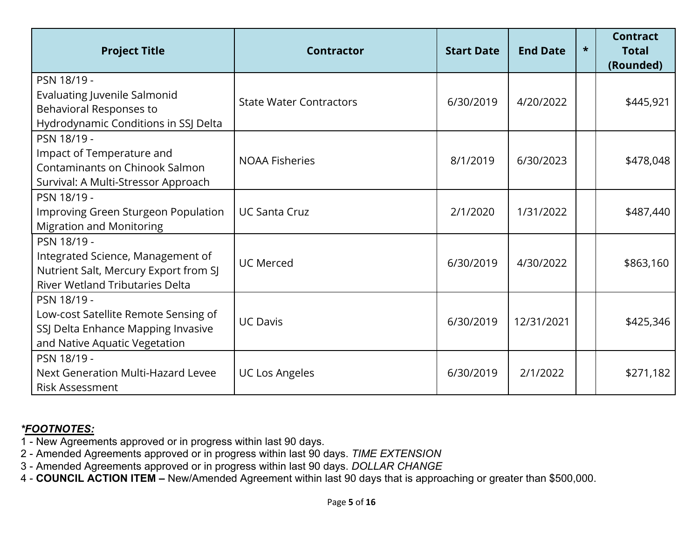| <b>Project Title</b>                                                                                                                | <b>Contractor</b>              | <b>Start Date</b> | <b>End Date</b> | $\star$ | <b>Contract</b><br><b>Total</b><br>(Rounded) |
|-------------------------------------------------------------------------------------------------------------------------------------|--------------------------------|-------------------|-----------------|---------|----------------------------------------------|
| PSN 18/19 -<br><b>Evaluating Juvenile Salmonid</b><br>Behavioral Responses to<br>Hydrodynamic Conditions in SSJ Delta               | <b>State Water Contractors</b> | 6/30/2019         | 4/20/2022       |         | \$445,921                                    |
| PSN 18/19 -<br>Impact of Temperature and<br><b>Contaminants on Chinook Salmon</b><br>Survival: A Multi-Stressor Approach            | <b>NOAA Fisheries</b>          | 8/1/2019          | 6/30/2023       |         | \$478,048                                    |
| PSN 18/19 -<br>Improving Green Sturgeon Population<br><b>Migration and Monitoring</b>                                               | <b>UC Santa Cruz</b>           | 2/1/2020          | 1/31/2022       |         | \$487,440                                    |
| PSN 18/19 -<br>Integrated Science, Management of<br>Nutrient Salt, Mercury Export from SJ<br><b>River Wetland Tributaries Delta</b> | <b>UC Merced</b>               | 6/30/2019         | 4/30/2022       |         | \$863,160                                    |
| PSN 18/19 -<br>Low-cost Satellite Remote Sensing of<br>SSJ Delta Enhance Mapping Invasive<br>and Native Aquatic Vegetation          | <b>UC Davis</b>                | 6/30/2019         | 12/31/2021      |         | \$425,346                                    |
| PSN 18/19 -<br>Next Generation Multi-Hazard Levee<br><b>Risk Assessment</b>                                                         | <b>UC Los Angeles</b>          | 6/30/2019         | 2/1/2022        |         | \$271,182                                    |

- 1 New Agreements approved or in progress within last 90 days.
- 2 Amended Agreements approved or in progress within last 90 days. *TIME EXTENSION*
- 3 Amended Agreements approved or in progress within last 90 days. *DOLLAR CHANGE*
- 4 **COUNCIL ACTION ITEM** New/Amended Agreement within last 90 days that is approaching or greater than \$500,000.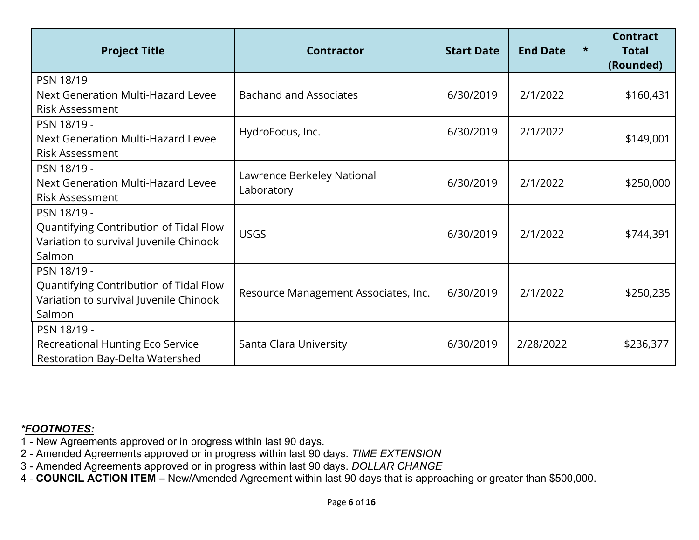| <b>Project Title</b>                                                                                      | <b>Contractor</b>                        | <b>Start Date</b> | <b>End Date</b> | $\star$ | <b>Contract</b><br><b>Total</b><br>(Rounded) |
|-----------------------------------------------------------------------------------------------------------|------------------------------------------|-------------------|-----------------|---------|----------------------------------------------|
| PSN 18/19 -<br>Next Generation Multi-Hazard Levee<br><b>Risk Assessment</b>                               | <b>Bachand and Associates</b>            | 6/30/2019         | 2/1/2022        |         | \$160,431                                    |
| PSN 18/19 -<br>Next Generation Multi-Hazard Levee<br><b>Risk Assessment</b>                               | HydroFocus, Inc.                         | 6/30/2019         | 2/1/2022        |         | \$149,001                                    |
| PSN 18/19 -<br>Next Generation Multi-Hazard Levee<br><b>Risk Assessment</b>                               | Lawrence Berkeley National<br>Laboratory | 6/30/2019         | 2/1/2022        |         | \$250,000                                    |
| PSN 18/19 -<br>Quantifying Contribution of Tidal Flow<br>Variation to survival Juvenile Chinook<br>Salmon | <b>USGS</b>                              | 6/30/2019         | 2/1/2022        |         | \$744,391                                    |
| PSN 18/19 -<br>Quantifying Contribution of Tidal Flow<br>Variation to survival Juvenile Chinook<br>Salmon | Resource Management Associates, Inc.     | 6/30/2019         | 2/1/2022        |         | \$250,235                                    |
| PSN 18/19 -<br>Recreational Hunting Eco Service<br>Restoration Bay-Delta Watershed                        | Santa Clara University                   | 6/30/2019         | 2/28/2022       |         | \$236,377                                    |

- 1 New Agreements approved or in progress within last 90 days.
- 2 Amended Agreements approved or in progress within last 90 days. *TIME EXTENSION*
- 3 Amended Agreements approved or in progress within last 90 days. *DOLLAR CHANGE*
- 4 **COUNCIL ACTION ITEM** New/Amended Agreement within last 90 days that is approaching or greater than \$500,000.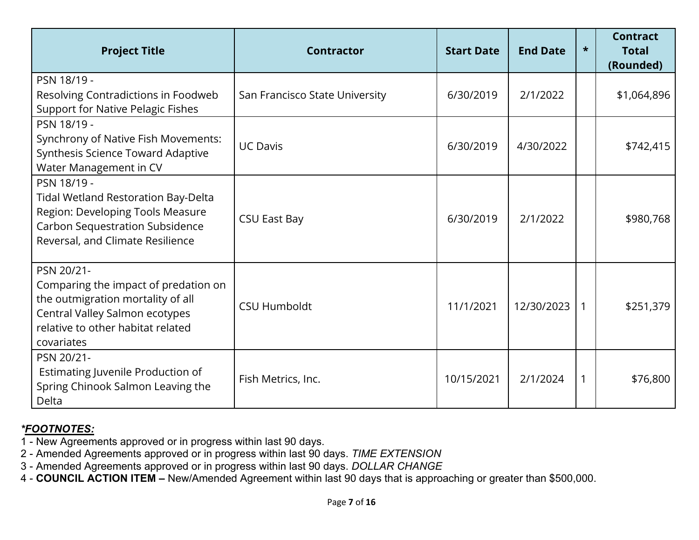| <b>Project Title</b>                                                                                                                                                         | <b>Contractor</b>              | <b>Start Date</b> | <b>End Date</b> | $\star$ | <b>Contract</b><br><b>Total</b><br>(Rounded) |
|------------------------------------------------------------------------------------------------------------------------------------------------------------------------------|--------------------------------|-------------------|-----------------|---------|----------------------------------------------|
| PSN 18/19 -<br>Resolving Contradictions in Foodweb<br><b>Support for Native Pelagic Fishes</b>                                                                               | San Francisco State University | 6/30/2019         | 2/1/2022        |         | \$1,064,896                                  |
| PSN 18/19 -<br>Synchrony of Native Fish Movements:<br>Synthesis Science Toward Adaptive<br>Water Management in CV                                                            | <b>UC Davis</b>                | 6/30/2019         | 4/30/2022       |         | \$742,415                                    |
| PSN 18/19 -<br><b>Tidal Wetland Restoration Bay-Delta</b><br>Region: Developing Tools Measure<br><b>Carbon Sequestration Subsidence</b><br>Reversal, and Climate Resilience  | <b>CSU East Bay</b>            | 6/30/2019         | 2/1/2022        |         | \$980,768                                    |
| PSN 20/21-<br>Comparing the impact of predation on<br>the outmigration mortality of all<br>Central Valley Salmon ecotypes<br>relative to other habitat related<br>covariates | <b>CSU Humboldt</b>            | 11/1/2021         | 12/30/2023      |         | \$251,379                                    |
| PSN 20/21-<br>Estimating Juvenile Production of<br>Spring Chinook Salmon Leaving the<br>Delta                                                                                | Fish Metrics, Inc.             | 10/15/2021        | 2/1/2024        |         | \$76,800                                     |

1 - New Agreements approved or in progress within last 90 days.

2 - Amended Agreements approved or in progress within last 90 days. *TIME EXTENSION*

3 - Amended Agreements approved or in progress within last 90 days. *DOLLAR CHANGE*

4 - **COUNCIL ACTION ITEM –** New/Amended Agreement within last 90 days that is approaching or greater than \$500,000.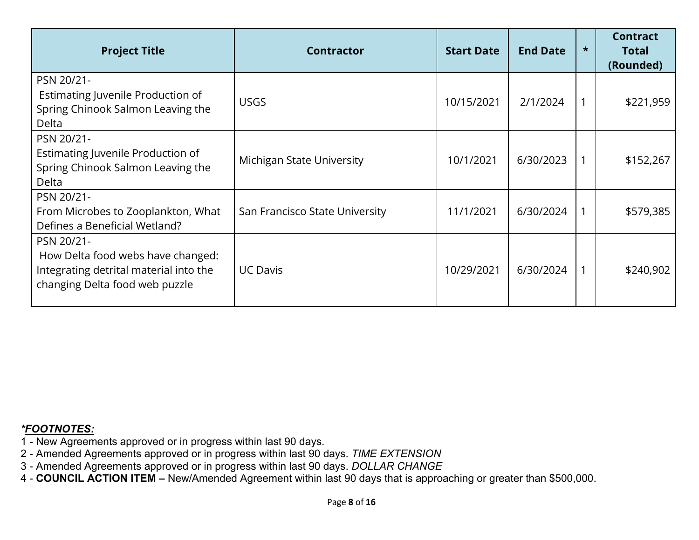| <b>Project Title</b>                                                                                                        | <b>Contractor</b>              | <b>Start Date</b> | <b>End Date</b> | $\star$ | <b>Contract</b><br><b>Total</b><br>(Rounded) |
|-----------------------------------------------------------------------------------------------------------------------------|--------------------------------|-------------------|-----------------|---------|----------------------------------------------|
| PSN 20/21-<br>Estimating Juvenile Production of<br>Spring Chinook Salmon Leaving the<br>Delta                               | <b>USGS</b>                    | 10/15/2021        | 2/1/2024        |         | \$221,959                                    |
| PSN 20/21-<br>Estimating Juvenile Production of<br>Spring Chinook Salmon Leaving the<br>Delta                               | Michigan State University      | 10/1/2021         | 6/30/2023       |         | \$152,267                                    |
| PSN 20/21-<br>From Microbes to Zooplankton, What<br>Defines a Beneficial Wetland?                                           | San Francisco State University | 11/1/2021         | 6/30/2024       |         | \$579,385                                    |
| PSN 20/21-<br>How Delta food webs have changed:<br>Integrating detrital material into the<br>changing Delta food web puzzle | <b>UC Davis</b>                | 10/29/2021        | 6/30/2024       |         | \$240,902                                    |

- 1 New Agreements approved or in progress within last 90 days.
- 2 Amended Agreements approved or in progress within last 90 days. *TIME EXTENSION*
- 3 Amended Agreements approved or in progress within last 90 days. *DOLLAR CHANGE*
- 4 **COUNCIL ACTION ITEM** New/Amended Agreement within last 90 days that is approaching or greater than \$500,000.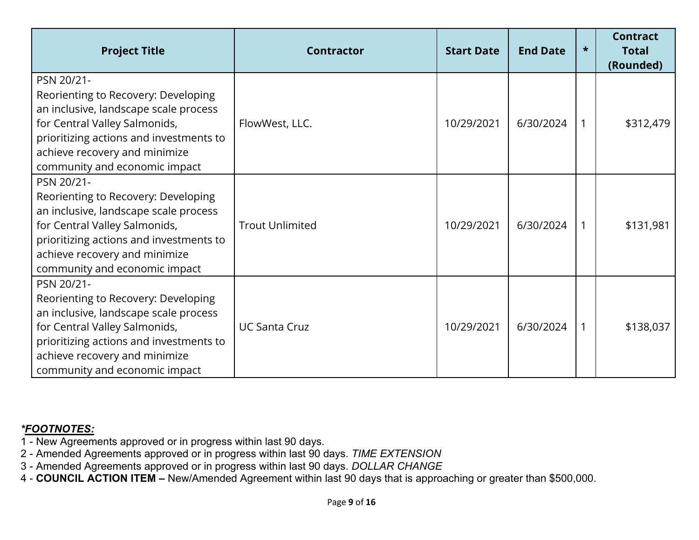| <b>Project Title</b>                                                                                                                                                                                                                     | <b>Contractor</b>      | <b>Start Date</b> | <b>End Date</b> | $\star$ | <b>Contract</b><br>Total<br>(Rounded) |
|------------------------------------------------------------------------------------------------------------------------------------------------------------------------------------------------------------------------------------------|------------------------|-------------------|-----------------|---------|---------------------------------------|
| PSN 20/21-<br>Reorienting to Recovery: Developing<br>an inclusive, landscape scale process<br>for Central Valley Salmonids,<br>prioritizing actions and investments to<br>achieve recovery and minimize<br>community and economic impact | FlowWest, LLC.         | 10/29/2021        | 6/30/2024       |         | \$312,479                             |
| PSN 20/21-<br>Reorienting to Recovery: Developing<br>an inclusive, landscape scale process<br>for Central Valley Salmonids,<br>prioritizing actions and investments to<br>achieve recovery and minimize<br>community and economic impact | <b>Trout Unlimited</b> | 10/29/2021        | 6/30/2024       |         | \$131,981                             |
| PSN 20/21-<br>Reorienting to Recovery: Developing<br>an inclusive, landscape scale process<br>for Central Valley Salmonids,<br>prioritizing actions and investments to<br>achieve recovery and minimize<br>community and economic impact | <b>UC Santa Cruz</b>   | 10/29/2021        | 6/30/2024       |         | \$138,037                             |

- 1 New Agreements approved or in progress within last 90 days.
- 2 Amended Agreements approved or in progress within last 90 days. *TIME EXTENSION*
- 3 Amended Agreements approved or in progress within last 90 days. *DOLLAR CHANGE*
- 4 **COUNCIL ACTION ITEM** New/Amended Agreement within last 90 days that is approaching or greater than \$500,000.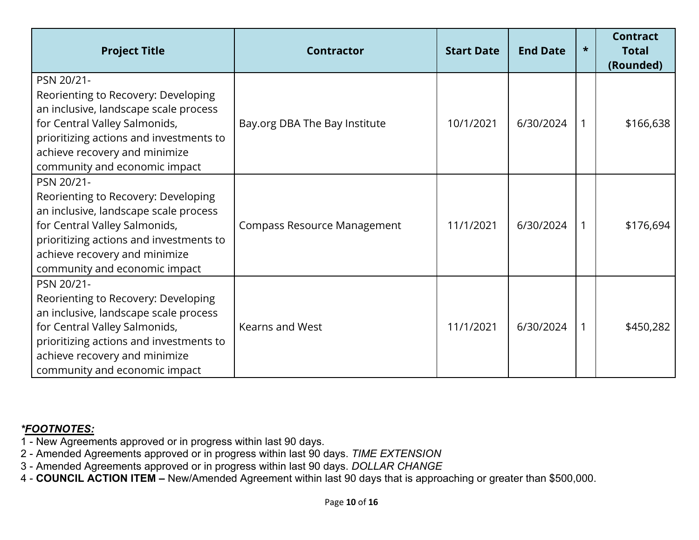| <b>Project Title</b>                                                                                                                                                                                                                     | <b>Contractor</b>                  | <b>Start Date</b> | <b>End Date</b> | $\star$ | <b>Contract</b><br><b>Total</b><br>(Rounded) |
|------------------------------------------------------------------------------------------------------------------------------------------------------------------------------------------------------------------------------------------|------------------------------------|-------------------|-----------------|---------|----------------------------------------------|
| PSN 20/21-<br>Reorienting to Recovery: Developing<br>an inclusive, landscape scale process<br>for Central Valley Salmonids,<br>prioritizing actions and investments to<br>achieve recovery and minimize<br>community and economic impact | Bay.org DBA The Bay Institute      | 10/1/2021         | 6/30/2024       | 1       | \$166,638                                    |
| PSN 20/21-<br>Reorienting to Recovery: Developing<br>an inclusive, landscape scale process<br>for Central Valley Salmonids,<br>prioritizing actions and investments to<br>achieve recovery and minimize<br>community and economic impact | <b>Compass Resource Management</b> | 11/1/2021         | 6/30/2024       | 1       | \$176,694                                    |
| PSN 20/21-<br>Reorienting to Recovery: Developing<br>an inclusive, landscape scale process<br>for Central Valley Salmonids,<br>prioritizing actions and investments to<br>achieve recovery and minimize<br>community and economic impact | Kearns and West                    | 11/1/2021         | 6/30/2024       | 1       | \$450,282                                    |

- 1 New Agreements approved or in progress within last 90 days.
- 2 Amended Agreements approved or in progress within last 90 days. *TIME EXTENSION*
- 3 Amended Agreements approved or in progress within last 90 days. *DOLLAR CHANGE*
- 4 **COUNCIL ACTION ITEM** New/Amended Agreement within last 90 days that is approaching or greater than \$500,000.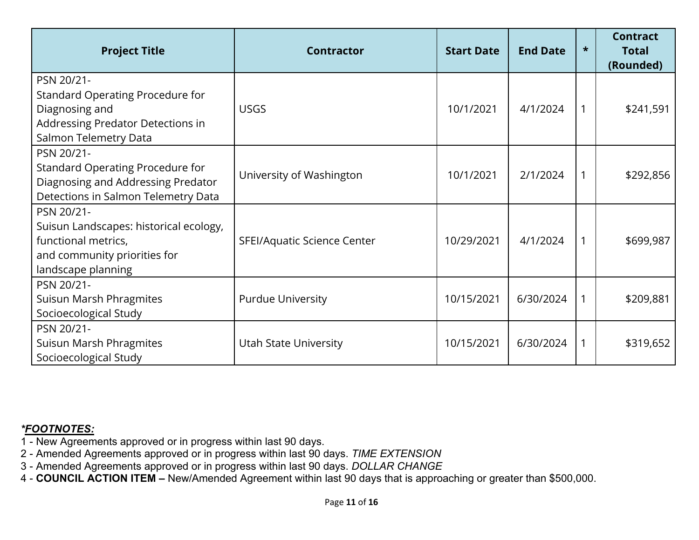| <b>Project Title</b>                                                                                                              | <b>Contractor</b>           | <b>Start Date</b> | <b>End Date</b> | $\star$ | <b>Contract</b><br><b>Total</b><br>(Rounded) |
|-----------------------------------------------------------------------------------------------------------------------------------|-----------------------------|-------------------|-----------------|---------|----------------------------------------------|
| PSN 20/21-<br>Standard Operating Procedure for<br>Diagnosing and<br>Addressing Predator Detections in<br>Salmon Telemetry Data    | <b>USGS</b>                 | 10/1/2021         | 4/1/2024        | 1       | \$241,591                                    |
| PSN 20/21-<br>Standard Operating Procedure for<br>Diagnosing and Addressing Predator<br>Detections in Salmon Telemetry Data       | University of Washington    | 10/1/2021         | 2/1/2024        | 1       | \$292,856                                    |
| PSN 20/21-<br>Suisun Landscapes: historical ecology,<br>functional metrics,<br>and community priorities for<br>landscape planning | SFEI/Aquatic Science Center | 10/29/2021        | 4/1/2024        | 1       | \$699,987                                    |
| PSN 20/21-<br>Suisun Marsh Phragmites<br>Socioecological Study                                                                    | <b>Purdue University</b>    | 10/15/2021        | 6/30/2024       | 1       | \$209,881                                    |
| PSN 20/21-<br>Suisun Marsh Phragmites<br>Socioecological Study                                                                    | Utah State University       | 10/15/2021        | 6/30/2024       | 1       | \$319,652                                    |

- 1 New Agreements approved or in progress within last 90 days.
- 2 Amended Agreements approved or in progress within last 90 days. *TIME EXTENSION*
- 3 Amended Agreements approved or in progress within last 90 days. *DOLLAR CHANGE*
- 4 **COUNCIL ACTION ITEM** New/Amended Agreement within last 90 days that is approaching or greater than \$500,000.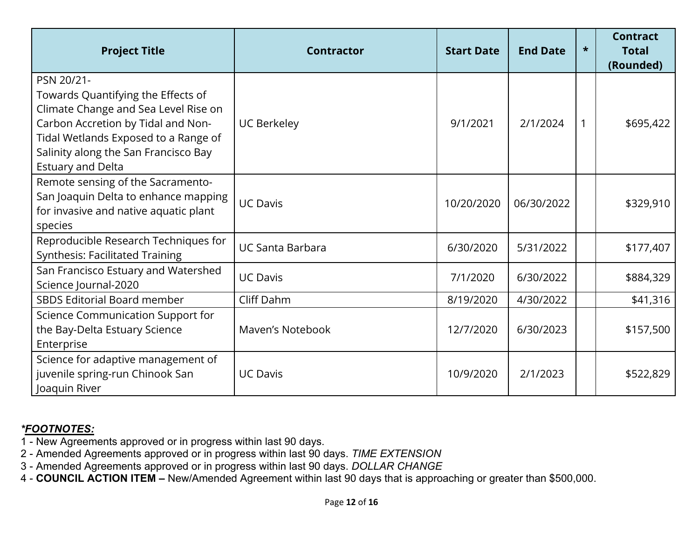| <b>Project Title</b>                                                                                                                                                                                                                       | <b>Contractor</b>       | <b>Start Date</b> | <b>End Date</b> | $\star$ | <b>Contract</b><br><b>Total</b><br>(Rounded) |
|--------------------------------------------------------------------------------------------------------------------------------------------------------------------------------------------------------------------------------------------|-------------------------|-------------------|-----------------|---------|----------------------------------------------|
| PSN 20/21-<br>Towards Quantifying the Effects of<br>Climate Change and Sea Level Rise on<br>Carbon Accretion by Tidal and Non-<br>Tidal Wetlands Exposed to a Range of<br>Salinity along the San Francisco Bay<br><b>Estuary and Delta</b> | <b>UC Berkeley</b>      | 9/1/2021          | 2/1/2024        |         | \$695,422                                    |
| Remote sensing of the Sacramento-<br>San Joaquin Delta to enhance mapping<br>for invasive and native aquatic plant<br>species                                                                                                              | <b>UC Davis</b>         | 10/20/2020        | 06/30/2022      |         | \$329,910                                    |
| Reproducible Research Techniques for<br><b>Synthesis: Facilitated Training</b>                                                                                                                                                             | <b>UC Santa Barbara</b> | 6/30/2020         | 5/31/2022       |         | \$177,407                                    |
| San Francisco Estuary and Watershed<br>Science Journal-2020                                                                                                                                                                                | <b>UC Davis</b>         | 7/1/2020          | 6/30/2022       |         | \$884,329                                    |
| <b>SBDS Editorial Board member</b>                                                                                                                                                                                                         | Cliff Dahm              | 8/19/2020         | 4/30/2022       |         | \$41,316                                     |
| Science Communication Support for<br>the Bay-Delta Estuary Science<br>Enterprise                                                                                                                                                           | Maven's Notebook        | 12/7/2020         | 6/30/2023       |         | \$157,500                                    |
| Science for adaptive management of<br>juvenile spring-run Chinook San<br>Joaquin River                                                                                                                                                     | <b>UC Davis</b>         | 10/9/2020         | 2/1/2023        |         | \$522,829                                    |

- 1 New Agreements approved or in progress within last 90 days.
- 2 Amended Agreements approved or in progress within last 90 days. *TIME EXTENSION*
- 3 Amended Agreements approved or in progress within last 90 days. *DOLLAR CHANGE*
- 4 **COUNCIL ACTION ITEM** New/Amended Agreement within last 90 days that is approaching or greater than \$500,000.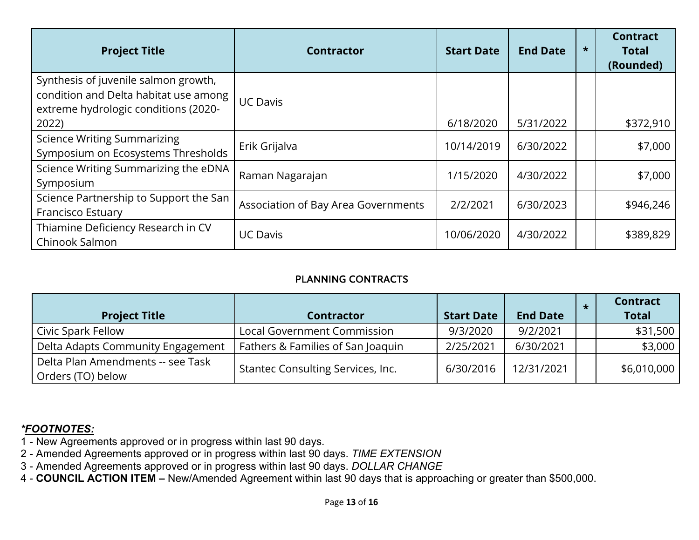| <b>Project Title</b>                                                                                                  | <b>Contractor</b>                   | <b>Start Date</b> | <b>End Date</b> | $\star$ | <b>Contract</b><br><b>Total</b><br>(Rounded) |
|-----------------------------------------------------------------------------------------------------------------------|-------------------------------------|-------------------|-----------------|---------|----------------------------------------------|
| Synthesis of juvenile salmon growth,<br>condition and Delta habitat use among<br>extreme hydrologic conditions (2020- | <b>UC Davis</b>                     |                   |                 |         |                                              |
| 2022)                                                                                                                 |                                     | 6/18/2020         | 5/31/2022       |         | \$372,910                                    |
| <b>Science Writing Summarizing</b><br>Symposium on Ecosystems Thresholds                                              | Erik Grijalva                       | 10/14/2019        | 6/30/2022       |         | \$7,000                                      |
| Science Writing Summarizing the eDNA<br>Symposium                                                                     | Raman Nagarajan                     | 1/15/2020         | 4/30/2022       |         | \$7,000                                      |
| Science Partnership to Support the San<br><b>Francisco Estuary</b>                                                    | Association of Bay Area Governments | 2/2/2021          | 6/30/2023       |         | \$946,246                                    |
| Thiamine Deficiency Research in CV<br>Chinook Salmon                                                                  | <b>UC Davis</b>                     | 10/06/2020        | 4/30/2022       |         | \$389,829                                    |

### PLANNING CONTRACTS

| <b>Project Title</b>                                   | <b>Contractor</b>                  | <b>Start Date</b> | <b>End Date</b> | <b>Contract</b><br><b>Total</b> |
|--------------------------------------------------------|------------------------------------|-------------------|-----------------|---------------------------------|
| Civic Spark Fellow                                     | <b>Local Government Commission</b> | 9/3/2020          | 9/2/2021        | \$31,500                        |
| Delta Adapts Community Engagement                      | Fathers & Families of San Joaquin  | 2/25/2021         | 6/30/2021       | \$3,000                         |
| Delta Plan Amendments -- see Task<br>Orders (TO) below | Stantec Consulting Services, Inc.  | 6/30/2016         | 12/31/2021      | \$6,010,000                     |

- 1 New Agreements approved or in progress within last 90 days.
- 2 Amended Agreements approved or in progress within last 90 days. *TIME EXTENSION*
- 3 Amended Agreements approved or in progress within last 90 days. *DOLLAR CHANGE*
- 4 **COUNCIL ACTION ITEM** New/Amended Agreement within last 90 days that is approaching or greater than \$500,000.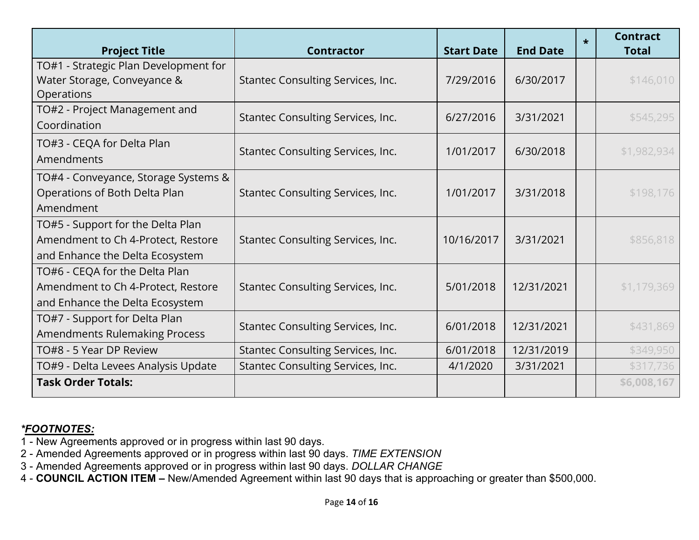| <b>Project Title</b>                                                                                       | <b>Contractor</b>                 | <b>Start Date</b> | <b>End Date</b> | $\star$ | <b>Contract</b><br><b>Total</b> |
|------------------------------------------------------------------------------------------------------------|-----------------------------------|-------------------|-----------------|---------|---------------------------------|
| TO#1 - Strategic Plan Development for<br>Water Storage, Conveyance &<br>Operations                         | Stantec Consulting Services, Inc. | 7/29/2016         | 6/30/2017       |         | \$146,010                       |
| TO#2 - Project Management and<br>Coordination                                                              | Stantec Consulting Services, Inc. | 6/27/2016         | 3/31/2021       |         | \$545,295                       |
| TO#3 - CEQA for Delta Plan<br>Amendments                                                                   | Stantec Consulting Services, Inc. | 1/01/2017         | 6/30/2018       |         | \$1,982,934                     |
| TO#4 - Conveyance, Storage Systems &<br>Operations of Both Delta Plan<br>Amendment                         | Stantec Consulting Services, Inc. | 1/01/2017         | 3/31/2018       |         | \$198,176                       |
| TO#5 - Support for the Delta Plan<br>Amendment to Ch 4-Protect, Restore<br>and Enhance the Delta Ecosystem | Stantec Consulting Services, Inc. | 10/16/2017        | 3/31/2021       |         | \$856,818                       |
| TO#6 - CEQA for the Delta Plan<br>Amendment to Ch 4-Protect, Restore<br>and Enhance the Delta Ecosystem    | Stantec Consulting Services, Inc. | 5/01/2018         | 12/31/2021      |         | \$1,179,369                     |
| TO#7 - Support for Delta Plan<br><b>Amendments Rulemaking Process</b>                                      | Stantec Consulting Services, Inc. | 6/01/2018         | 12/31/2021      |         | \$431,869                       |
| TO#8 - 5 Year DP Review                                                                                    | Stantec Consulting Services, Inc. | 6/01/2018         | 12/31/2019      |         | \$349,950                       |
| TO#9 - Delta Levees Analysis Update                                                                        | Stantec Consulting Services, Inc. | 4/1/2020          | 3/31/2021       |         | \$317,736                       |
| <b>Task Order Totals:</b>                                                                                  |                                   |                   |                 |         | \$6,008,167                     |

- 1 New Agreements approved or in progress within last 90 days.
- 2 Amended Agreements approved or in progress within last 90 days. *TIME EXTENSION*
- 3 Amended Agreements approved or in progress within last 90 days. *DOLLAR CHANGE*
- 4 **COUNCIL ACTION ITEM** New/Amended Agreement within last 90 days that is approaching or greater than \$500,000.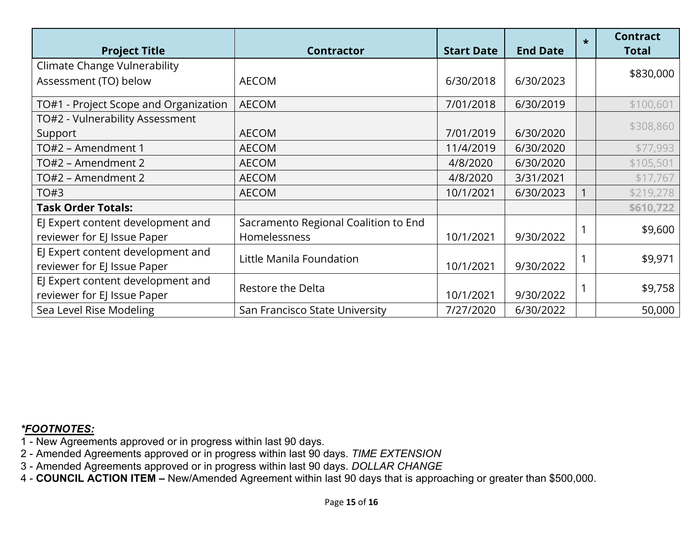| <b>Project Title</b>                  | <b>Contractor</b>                    | <b>Start Date</b> | <b>End Date</b> | $\star$ | <b>Contract</b><br><b>Total</b> |
|---------------------------------------|--------------------------------------|-------------------|-----------------|---------|---------------------------------|
| <b>Climate Change Vulnerability</b>   |                                      |                   |                 |         | \$830,000                       |
| Assessment (TO) below                 | <b>AECOM</b>                         | 6/30/2018         | 6/30/2023       |         |                                 |
| TO#1 - Project Scope and Organization | <b>AECOM</b>                         | 7/01/2018         | 6/30/2019       |         | \$100,601                       |
| TO#2 - Vulnerability Assessment       |                                      |                   |                 |         | \$308,860                       |
| Support                               | <b>AECOM</b>                         | 7/01/2019         | 6/30/2020       |         |                                 |
| TO#2 - Amendment 1                    | <b>AECOM</b>                         | 11/4/2019         | 6/30/2020       |         | \$77,993                        |
| TO#2 - Amendment 2                    | <b>AECOM</b>                         | 4/8/2020          | 6/30/2020       |         | \$105,501                       |
| TO#2 - Amendment 2                    | <b>AECOM</b>                         | 4/8/2020          | 3/31/2021       |         | \$17,767                        |
| TO#3                                  | <b>AECOM</b>                         | 10/1/2021         | 6/30/2023       |         | \$219,278                       |
| <b>Task Order Totals:</b>             |                                      |                   |                 |         | \$610,722                       |
| EJ Expert content development and     | Sacramento Regional Coalition to End |                   |                 |         | \$9,600                         |
| reviewer for EJ Issue Paper           | Homelessness                         | 10/1/2021         | 9/30/2022       |         |                                 |
| EJ Expert content development and     | Little Manila Foundation             |                   |                 |         | \$9,971                         |
| reviewer for EJ Issue Paper           |                                      | 10/1/2021         | 9/30/2022       |         |                                 |
| EJ Expert content development and     | Restore the Delta                    |                   |                 |         | \$9,758                         |
| reviewer for EJ Issue Paper           |                                      | 10/1/2021         | 9/30/2022       |         |                                 |
| Sea Level Rise Modeling               | San Francisco State University       | 7/27/2020         | 6/30/2022       |         | 50,000                          |

- 1 New Agreements approved or in progress within last 90 days.
- 2 Amended Agreements approved or in progress within last 90 days. *TIME EXTENSION*
- 3 Amended Agreements approved or in progress within last 90 days. *DOLLAR CHANGE*
- 4 **COUNCIL ACTION ITEM** New/Amended Agreement within last 90 days that is approaching or greater than \$500,000.